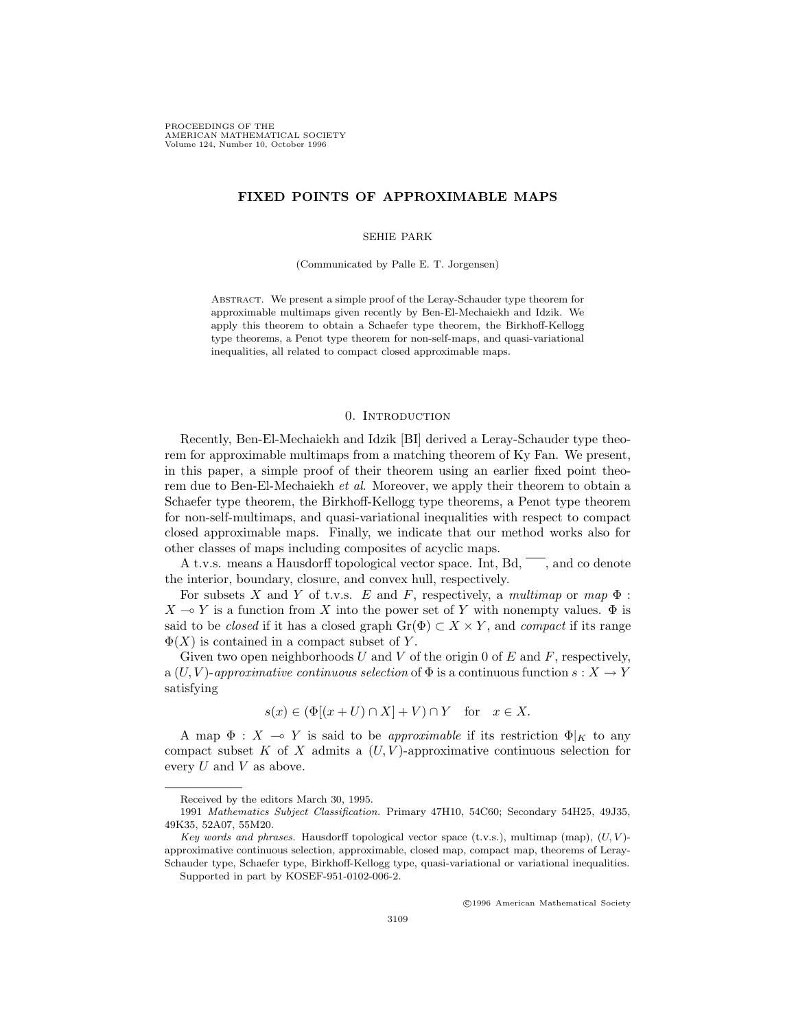PROCEEDINGS OF THE AMERICAN MATHEMATICAL SOCIETY Volume 124, Number 10, October 1996

# **FIXED POINTS OF APPROXIMABLE MAPS**

#### SEHIE PARK

(Communicated by Palle E. T. Jorgensen)

ABSTRACT. We present a simple proof of the Leray-Schauder type theorem for approximable multimaps given recently by Ben-El-Mechaiekh and Idzik. We apply this theorem to obtain a Schaefer type theorem, the Birkhoff-Kellogg type theorems, a Penot type theorem for non-self-maps, and quasi-variational inequalities, all related to compact closed approximable maps.

#### 0. Introduction

Recently, Ben-El-Mechaiekh and Idzik [BI] derived a Leray-Schauder type theorem for approximable multimaps from a matching theorem of Ky Fan. We present, in this paper, a simple proof of their theorem using an earlier fixed point theorem due to Ben-El-Mechaiekh et al. Moreover, we apply their theorem to obtain a Schaefer type theorem, the Birkhoff-Kellogg type theorems, a Penot type theorem for non-self-multimaps, and quasi-variational inequalities with respect to compact closed approximable maps. Finally, we indicate that our method works also for other classes of maps including composites of acyclic maps.

A t.v.s. means a Hausdorff topological vector space. Int,  $Bd$ ,  $\overline{\phantom{a}}$ , and co denote the interior, boundary, closure, and convex hull, respectively.

For subsets X and Y of t.v.s. E and F, respectively, a multimap or map  $\Phi$ :  $X \to Y$  is a function from X into the power set of Y with nonempty values.  $\Phi$  is said to be *closed* if it has a closed graph  $Gr(\Phi) \subset X \times Y$ , and *compact* if its range  $\Phi(X)$  is contained in a compact subset of Y.

Given two open neighborhoods U and V of the origin 0 of E and F, respectively, a  $(U, V)$ -approximative continuous selection of  $\Phi$  is a continuous function  $s: X \to Y$ satisfying

$$
s(x) \in (\Phi[(x+U) \cap X] + V) \cap Y \quad \text{for} \quad x \in X.
$$

A map  $\Phi : X \to Y$  is said to be *approximable* if its restriction  $\Phi|_K$  to any compact subset K of X admits a  $(U, V)$ -approximative continuous selection for every  $U$  and  $V$  as above.

c 1996 American Mathematical Society

Received by the editors March 30, 1995.

<sup>1991</sup> Mathematics Subject Classification. Primary 47H10, 54C60; Secondary 54H25, 49J35, 49K35, 52A07, 55M20.

Key words and phrases. Hausdorff topological vector space (t.v.s.), multimap (map),  $(U, V)$ approximative continuous selection, approximable, closed map, compact map, theorems of Leray-Schauder type, Schaefer type, Birkhoff-Kellogg type, quasi-variational or variational inequalities. Supported in part by KOSEF-951-0102-006-2.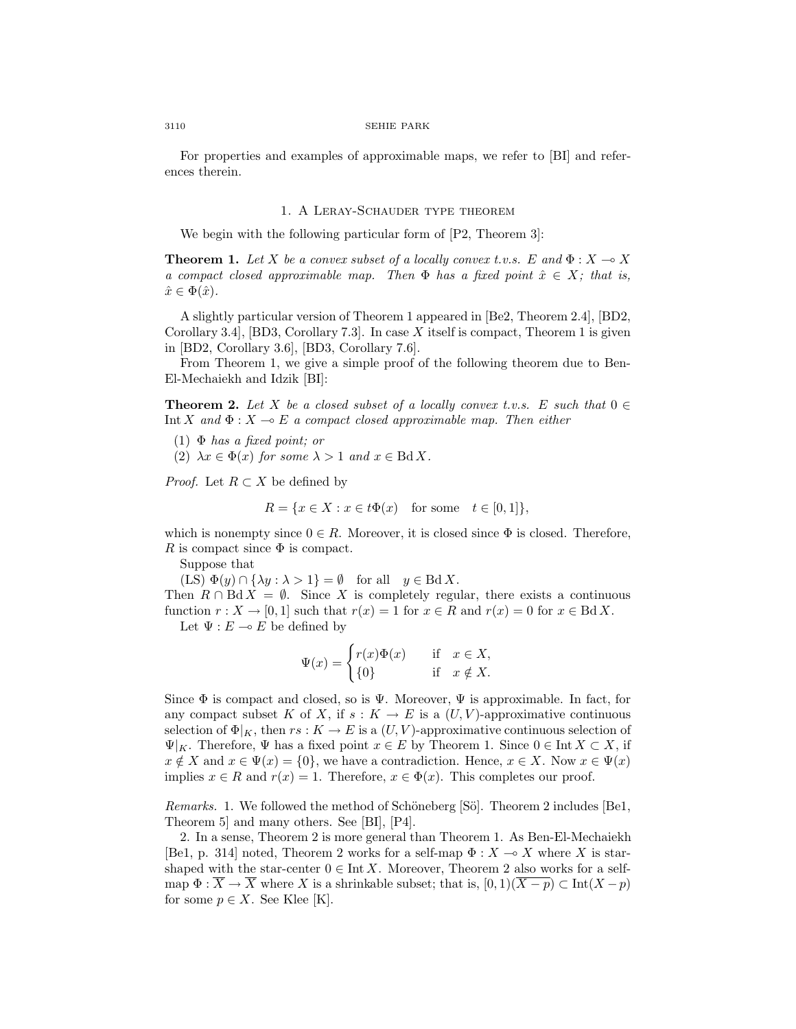#### 3110 SEHIE PARK

For properties and examples of approximable maps, we refer to [BI] and references therein.

# 1. A Leray-Schauder type theorem

We begin with the following particular form of  $[P2, Theorem 3]$ :

**Theorem 1.** Let X be a convex subset of a locally convex t.v.s. E and  $\Phi: X \to X$ a compact closed approximable map. Then  $\Phi$  has a fixed point  $\hat{x} \in X$ ; that is,  $\hat{x} \in \Phi(\hat{x})$ .

A slightly particular version of Theorem 1 appeared in [Be2, Theorem 2.4], [BD2, Corollary 3.4. [BD3, Corollary 7.3]. In case X itself is compact, Theorem 1 is given in [BD2, Corollary 3.6], [BD3, Corollary 7.6].

From Theorem 1, we give a simple proof of the following theorem due to Ben-El-Mechaiekh and Idzik [BI]:

**Theorem 2.** Let X be a closed subset of a locally convex t.v.s. E such that  $0 \in$ Int X and  $\Phi: X \to E$  a compact closed approximable map. Then either

- (1)  $\Phi$  has a fixed point; or
- (2)  $\lambda x \in \Phi(x)$  for some  $\lambda > 1$  and  $x \in \text{Bd } X$ .

*Proof.* Let  $R \subset X$  be defined by

$$
R = \{ x \in X : x \in t\Phi(x) \quad \text{for some} \quad t \in [0,1] \},
$$

which is nonempty since  $0 \in R$ . Moreover, it is closed since  $\Phi$  is closed. Therefore, R is compact since  $\Phi$  is compact.

Suppose that

(LS)  $\Phi(y) \cap {\lambda y : \lambda > 1} = \emptyset$  for all  $y \in \text{Bd } X$ .

Then  $R \cap \text{Bd} X = \emptyset$ . Since X is completely regular, there exists a continuous function  $r : X \to [0, 1]$  such that  $r(x) = 1$  for  $x \in R$  and  $r(x) = 0$  for  $x \in \text{Bd } X$ .

Let  $\Psi : E \multimap E$  be defined by

$$
\Psi(x) = \begin{cases} r(x)\Phi(x) & \text{if } x \in X, \\ \{0\} & \text{if } x \notin X. \end{cases}
$$

Since  $\Phi$  is compact and closed, so is  $\Psi$ . Moreover,  $\Psi$  is approximable. In fact, for any compact subset K of X, if  $s: K \to E$  is a  $(U, V)$ -approximative continuous selection of  $\Phi|_K$ , then  $rs: K \to E$  is a  $(U, V)$ -approximative continuous selection of  $\Psi|_K$ . Therefore,  $\Psi$  has a fixed point  $x \in E$  by Theorem 1. Since  $0 \in \text{Int } X \subset X$ , if  $x \notin X$  and  $x \in \Psi(x) = \{0\}$ , we have a contradiction. Hence,  $x \in X$ . Now  $x \in \Psi(x)$ implies  $x \in R$  and  $r(x) = 1$ . Therefore,  $x \in \Phi(x)$ . This completes our proof.

Remarks. 1. We followed the method of Schöneberg [Sö]. Theorem 2 includes [Be1, Theorem 5] and many others. See [BI], [P4].

2. In a sense, Theorem 2 is more general than Theorem 1. As Ben-El-Mechaiekh [Be1, p. 314] noted, Theorem 2 works for a self-map  $\Phi: X \to X$  where X is starshaped with the star-center  $0 \in \text{Int } X$ . Moreover, Theorem 2 also works for a selfmap  $\Phi$  :  $\overline{X} \to \overline{X}$  where X is a shrinkable subset; that is,  $[0,1)(\overline{X-p}) \subset \text{Int}(X-p)$ for some  $p \in X$ . See Klee [K].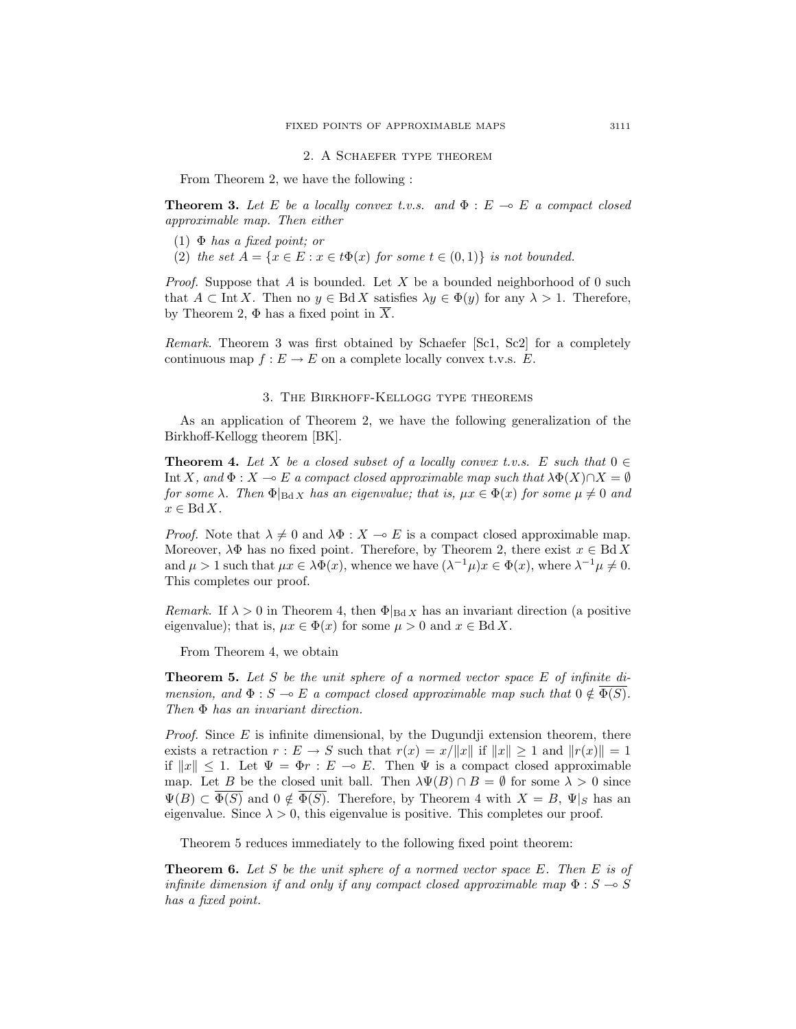# 2. A Schaefer type theorem

From Theorem 2, we have the following :

**Theorem 3.** Let E be a locally convex t.v.s. and  $\Phi : E \to E$  a compact closed approximable map. Then either

- (1)  $\Phi$  has a fixed point; or
- (2) the set  $A = \{x \in E : x \in t\Phi(x) \text{ for some } t \in (0,1)\}\$ is not bounded.

*Proof.* Suppose that A is bounded. Let X be a bounded neighborhood of 0 such that  $A \subset \text{Int } X$ . Then no  $y \in \text{Bd } X$  satisfies  $\lambda y \in \Phi(y)$  for any  $\lambda > 1$ . Therefore, by Theorem 2,  $\Phi$  has a fixed point in  $\overline{X}$ .

Remark. Theorem 3 was first obtained by Schaefer [Sc1, Sc2] for a completely continuous map  $f : E \to E$  on a complete locally convex t.v.s. E.

### 3. The Birkhoff-Kellogg type theorems

As an application of Theorem 2, we have the following generalization of the Birkhoff-Kellogg theorem [BK].

**Theorem 4.** Let X be a closed subset of a locally convex t.v.s. E such that  $0 \in$ Int X, and  $\Phi : X \to E$  a compact closed approximable map such that  $\lambda \Phi(X) \cap X = \emptyset$ for some  $\lambda$ . Then  $\Phi|_{\text{Bd }X}$  has an eigenvalue; that is,  $\mu x \in \Phi(x)$  for some  $\mu \neq 0$  and  $x \in \text{Bd } X.$ 

*Proof.* Note that  $\lambda \neq 0$  and  $\lambda \Phi : X \to E$  is a compact closed approximable map. Moreover,  $\lambda \Phi$  has no fixed point. Therefore, by Theorem 2, there exist  $x \in \text{Bd } X$ and  $\mu > 1$  such that  $\mu x \in \lambda \Phi(x)$ , whence we have  $(\lambda^{-1} \mu)x \in \Phi(x)$ , where  $\lambda^{-1} \mu \neq 0$ . This completes our proof.

Remark. If  $\lambda > 0$  in Theorem 4, then  $\Phi|_{\text{Bd }X}$  has an invariant direction (a positive eigenvalue); that is,  $\mu x \in \Phi(x)$  for some  $\mu > 0$  and  $x \in \text{Bd } X$ .

From Theorem 4, we obtain

**Theorem 5.** Let S be the unit sphere of a normed vector space E of infinite dimension, and  $\Phi : S \to E$  a compact closed approximable map such that  $0 \notin \overline{\Phi(S)}$ . Then Φ has an invariant direction.

*Proof.* Since  $E$  is infinite dimensional, by the Dugundji extension theorem, there exists a retraction  $r : E \to S$  such that  $r(x) = x/||x||$  if  $||x|| \ge 1$  and  $||r(x)|| = 1$ if  $||x|| \leq 1$ . Let  $\Psi = \Phi r : E \multimap E$ . Then  $\Psi$  is a compact closed approximable map. Let B be the closed unit ball. Then  $\lambda \Psi(B) \cap B = \emptyset$  for some  $\lambda > 0$  since  $\Psi(B) \subset \Phi(S)$  and  $0 \notin \Phi(S)$ . Therefore, by Theorem 4 with  $X = B$ ,  $\Psi|_S$  has an eigenvalue. Since  $\lambda > 0$ , this eigenvalue is positive. This completes our proof.

Theorem 5 reduces immediately to the following fixed point theorem:

**Theorem 6.** Let S be the unit sphere of a normed vector space  $E$ . Then  $E$  is of infinite dimension if and only if any compact closed approximable map  $\Phi : S \to S$ has a fixed point.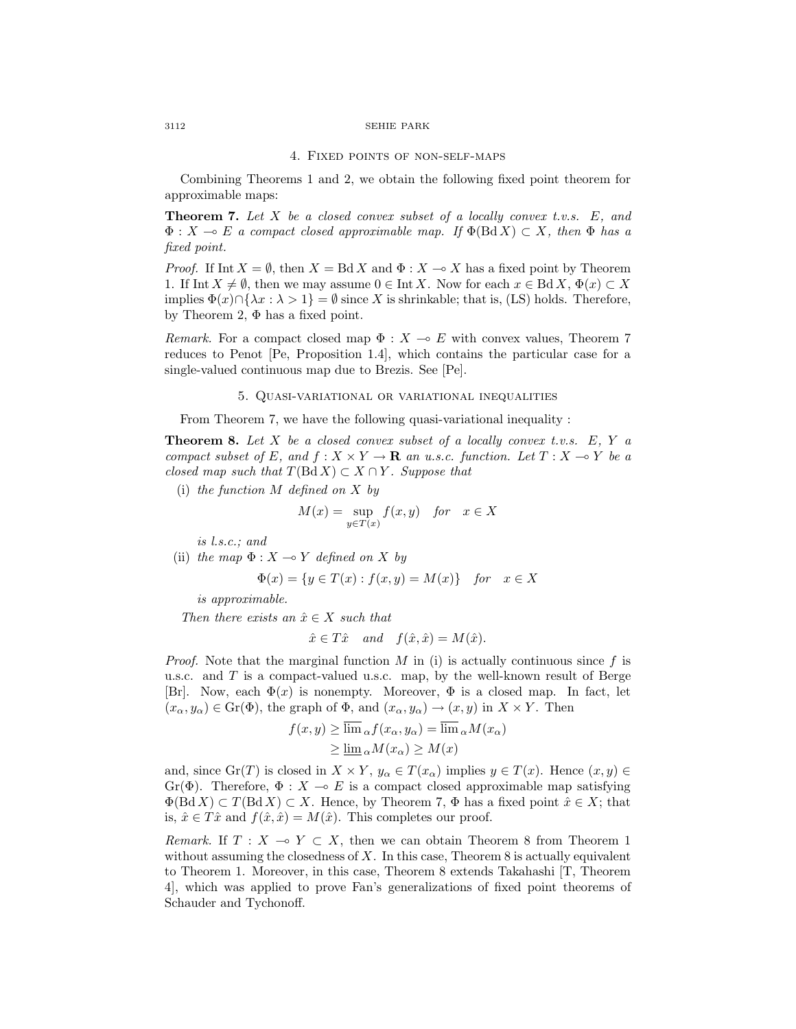#### 3112 SEHIE PARK

### 4. Fixed points of non-self-maps

Combining Theorems 1 and 2, we obtain the following fixed point theorem for approximable maps:

**Theorem 7.** Let  $X$  be a closed convex subset of a locally convex t.v.s.  $E$ , and  $\Phi: X \multimap E$  a compact closed approximable map. If  $\Phi(\text{Bd} X) \subset X$ , then  $\Phi$  has a fixed point.

*Proof.* If Int  $X = \emptyset$ , then  $X = \text{Bd } X$  and  $\Phi : X \to X$  has a fixed point by Theorem 1. If Int  $X \neq \emptyset$ , then we may assume  $0 \in \text{Int } X$ . Now for each  $x \in \text{Bd } X$ ,  $\Phi(x) \subset X$ implies  $\Phi(x) \cap {\lambda x : \lambda > 1} = \emptyset$  since X is shrinkable; that is, (LS) holds. Therefore, by Theorem 2,  $\Phi$  has a fixed point.

Remark. For a compact closed map  $\Phi : X \to E$  with convex values, Theorem 7 reduces to Penot [Pe, Proposition 1.4], which contains the particular case for a single-valued continuous map due to Brezis. See [Pe].

## 5. Quasi-variational or variational inequalities

From Theorem 7, we have the following quasi-variational inequality :

**Theorem 8.** Let  $X$  be a closed convex subset of a locally convex t.v.s.  $E, Y$  a compact subset of E, and  $f : X \times Y \to \mathbf{R}$  an u.s.c. function. Let  $T : X \to Y$  be a closed map such that  $T(\text{Bd } X) \subset X \cap Y$ . Suppose that

(i) the function  $M$  defined on  $X$  by

$$
M(x) = \sup_{y \in T(x)} f(x, y) \quad \text{for} \quad x \in X
$$

is l.s.c.; and

(ii) the map  $\Phi: X \to Y$  defined on X by

$$
\Phi(x) = \{ y \in T(x) : f(x, y) = M(x) \} \quad \text{for} \quad x \in X
$$

is approximable.

Then there exists an  $\hat{x} \in X$  such that

$$
\hat{x} \in T\hat{x}
$$
 and  $f(\hat{x}, \hat{x}) = M(\hat{x})$ .

*Proof.* Note that the marginal function M in (i) is actually continuous since f is u.s.c. and  $T$  is a compact-valued u.s.c. map, by the well-known result of Berge [Br]. Now, each  $\Phi(x)$  is nonempty. Moreover,  $\Phi$  is a closed map. In fact, let  $(x_\alpha, y_\alpha) \in \text{Gr}(\Phi)$ , the graph of  $\Phi$ , and  $(x_\alpha, y_\alpha) \to (x, y)$  in  $X \times Y$ . Then

$$
f(x, y) \ge \lim_{\alpha} f(x_{\alpha}, y_{\alpha}) = \lim_{\alpha} M(x_{\alpha})
$$
  
 
$$
\ge \lim_{\alpha} M(x_{\alpha}) \ge M(x)
$$

and, since  $\text{Gr}(T)$  is closed in  $X \times Y$ ,  $y_\alpha \in T(x_\alpha)$  implies  $y \in T(x)$ . Hence  $(x, y) \in$ Gr( $\Phi$ ). Therefore,  $\Phi : X \multimap E$  is a compact closed approximable map satisfying  $\Phi(\text{Bd } X) \subset T(\text{Bd } X) \subset X$ . Hence, by Theorem 7,  $\Phi$  has a fixed point  $\hat{x} \in X$ ; that is,  $\hat{x} \in T\hat{x}$  and  $f(\hat{x}, \hat{x}) = M(\hat{x})$ . This completes our proof.

Remark. If  $T : X \multimap Y \subset X$ , then we can obtain Theorem 8 from Theorem 1 without assuming the closedness of  $X$ . In this case, Theorem 8 is actually equivalent to Theorem 1. Moreover, in this case, Theorem 8 extends Takahashi [T, Theorem 4], which was applied to prove Fan's generalizations of fixed point theorems of Schauder and Tychonoff.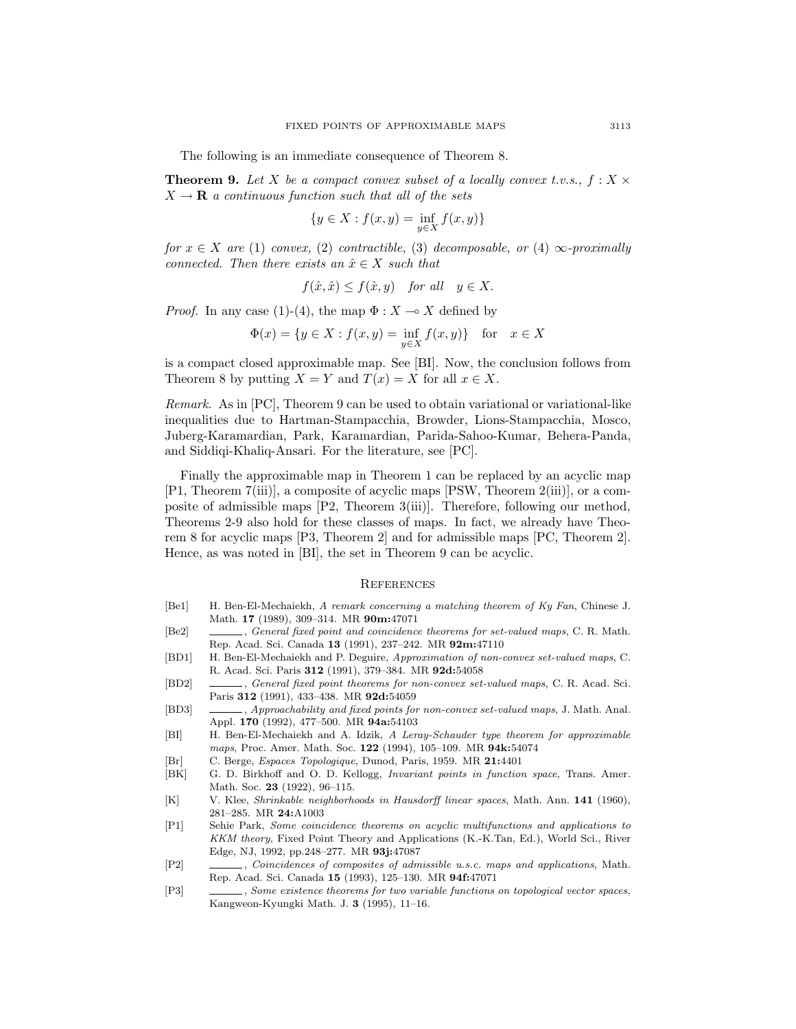The following is an immediate consequence of Theorem 8.

**Theorem 9.** Let X be a compact convex subset of a locally convex t.v.s.,  $f: X \times Y$  $X \rightarrow \mathbf{R}$  a continuous function such that all of the sets

$$
\{y\in X:f(x,y)=\inf_{y\in X}f(x,y)\}
$$

for  $x \in X$  are (1) convex, (2) contractible, (3) decomposable, or (4)  $\infty$ -proximally connected. Then there exists an  $\hat{x} \in X$  such that

$$
f(\hat{x}, \hat{x}) \le f(\hat{x}, y) \quad \text{for all} \quad y \in X.
$$

*Proof.* In any case (1)-(4), the map  $\Phi : X \to X$  defined by

$$
\Phi(x) = \{ y \in X : f(x, y) = \inf_{y \in X} f(x, y) \} \text{ for } x \in X
$$

is a compact closed approximable map. See [BI]. Now, the conclusion follows from Theorem 8 by putting  $X = Y$  and  $T(x) = X$  for all  $x \in X$ .

Remark. As in [PC], Theorem 9 can be used to obtain variational or variational-like inequalities due to Hartman-Stampacchia, Browder, Lions-Stampacchia, Mosco, Juberg-Karamardian, Park, Karamardian, Parida-Sahoo-Kumar, Behera-Panda, and Siddiqi-Khaliq-Ansari. For the literature, see [PC].

Finally the approximable map in Theorem 1 can be replaced by an acyclic map [P1, Theorem 7(iii)], a composite of acyclic maps [PSW, Theorem 2(iii)], or a composite of admissible maps [P2, Theorem 3(iii)]. Therefore, following our method, Theorems 2-9 also hold for these classes of maps. In fact, we already have Theorem 8 for acyclic maps [P3, Theorem 2] and for admissible maps [PC, Theorem 2]. Hence, as was noted in [BI], the set in Theorem 9 can be acyclic.

### **REFERENCES**

- [Be1] H. Ben-El-Mechaiekh, A remark concerning a matching theorem of Ky Fan, Chinese J. Math. **17** (1989), 309–314. MR **90m:**47071
- [Be2] , General fixed point and coincidence theorems for set-valued maps, C. R. Math. Rep. Acad. Sci. Canada **13** (1991), 237–242. MR **92m:**47110
- [BD1] H. Ben-El-Mechaiekh and P. Deguire, Approximation of non-convex set-valued maps, C. R. Acad. Sci. Paris **312** (1991), 379–384. MR **92d:**54058
- [BD2] , General fixed point theorems for non-convex set-valued maps, C. R. Acad. Sci. Paris **312** (1991), 433–438. MR **92d:**54059
- [BD3] , Approachability and fixed points for non-convex set-valued maps, J. Math. Anal. Appl. **170** (1992), 477–500. MR **94a:**54103
- [BI] H. Ben-El-Mechaiekh and A. Idzik, A Leray-Schauder type theorem for approximable maps, Proc. Amer. Math. Soc. **122** (1994), 105–109. MR **94k:**54074
- [Br] C. Berge, Espaces Topologique, Dunod, Paris, 1959. MR **21:**4401
- [BK] G. D. Birkhoff and O. D. Kellogg, Invariant points in function space, Trans. Amer. Math. Soc. **23** (1922), 96–115.
- [K] V. Klee, Shrinkable neighborhoods in Hausdorff linear spaces, Math. Ann. **141** (1960), 281–285. MR **24:**A1003
- [P1] Sehie Park, Some coincidence theorems on acyclic multifunctions and applications to KKM theory, Fixed Point Theory and Applications (K.-K.Tan, Ed.), World Sci., River Edge, NJ, 1992, pp.248–277. MR **93j:**47087
- [P2] , Coincidences of composites of admissible u.s.c. maps and applications, Math. Rep. Acad. Sci. Canada **15** (1993), 125–130. MR **94f:**47071
- [P3] , Some existence theorems for two variable functions on topological vector spaces, Kangweon-Kyungki Math. J. **3** (1995), 11–16.